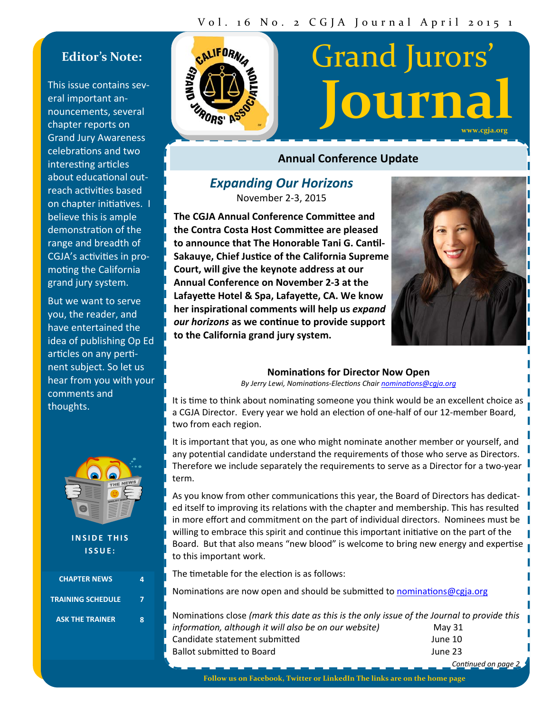# **Editor's Note:**

This issue contains sev‐ eral important an‐ nouncements, several chapter reports on Grand Jury Awareness celebrations and two interesting articles about educational outreach activities based on chapter initiatives. I believe this is ample demonstration of the range and breadth of CGJA's activities in promoting the California grand jury system.

But we want to serve you, the reader, and have entertained the idea of publishing Op Ed articles on any pertinent subject. So let us hear from you with your comments and thoughts.



**INSIDE THIS ISSUE:**

| <b>CHAPTER NEWS</b>      |  |
|--------------------------|--|
| <b>TRAINING SCHEDULE</b> |  |
| <b>ASK THE TRAINER</b>   |  |



# Grand Jurors' **Journal**

**www.cgja.org**

# **Annual Conference Update**

# *Expanding Our Horizons*

November 2‐3, 2015

**The CGJA Annual Conference CommiƩee and the Contra Costa Host CommiƩee are pleased to announce that The Honorable Tani G. CanƟl‐ Sakauye, Chief JusƟce of the California Supreme Court, will give the keynote address at our Annual Conference on November 2‐3 at the LafayeƩe Hotel & Spa, LafayeƩe, CA. We know her inspiraƟonal comments will help us** *expand our horizons* **as we conƟnue to provide support to the California grand jury system.**



# **NominaƟons for Director Now Open**

*By Jerry Lewi, NominaƟons‐ElecƟons Chair nominaƟons@cgja.org* 

It is time to think about nominating someone you think would be an excellent choice as a CGJA Director. Every year we hold an election of one-half of our 12-member Board, two from each region.

It is important that you, as one who might nominate another member or yourself, and any potential candidate understand the requirements of those who serve as Directors. Therefore we include separately the requirements to serve as a Director for a two‐year term.

As you know from other communications this year, the Board of Directors has dedicated itself to improving its relations with the chapter and membership. This has resulted in more effort and commitment on the part of individual directors. Nominees must be willing to embrace this spirit and continue this important initiative on the part of the Board. But that also means "new blood" is welcome to bring new energy and expertise to this important work.

The timetable for the election is as follows:

Nominations are now open and should be submitted to nominations@cgja.org

| Nominations close (mark this date as this is the only issue of the Journal to provide this |         |
|--------------------------------------------------------------------------------------------|---------|
| information, although it will also be on our website)                                      | May 31  |
| Candidate statement submitted                                                              | June 10 |
| Ballot submitted to Board                                                                  | June 23 |
|                                                                                            |         |

*ConƟnued on page 2* 

**Follow us on Facebook, Twitter or LinkedIn The links are on the home page**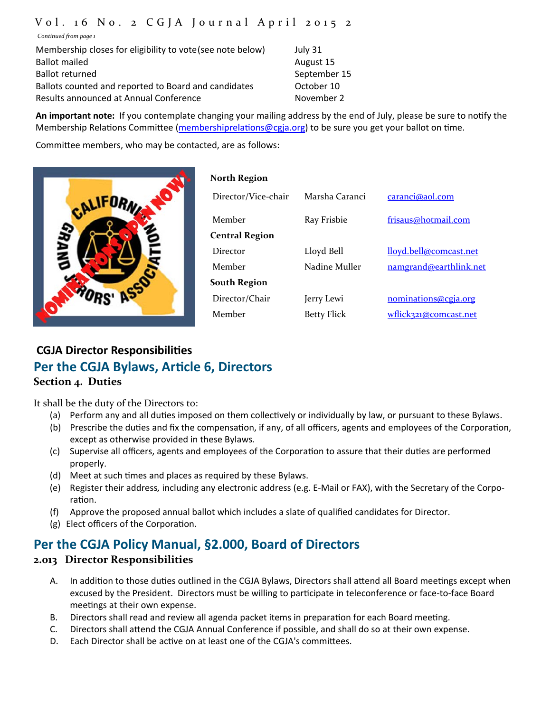# Vol. 1 6 No. 2 CGJA Journal April 2015 2

*Continued from page 1*

Membership closes for eligibility to vote (see note below) July 31 Ballot mailed **August 15** August 15 Ballot returned September 15 Ballots counted and reported to Board and candidates **Section** October 10 Results announced at Annual Conference The November 2

**An important note:** If you contemplate changing your mailing address by the end of July, please be sure to noƟfy the Membership Relations Committee (membershiprelations@cgja.org) to be sure you get your ballot on time.

Committee members, who may be contacted, are as follows:



| <b>North Region</b>   |                    |                        |
|-----------------------|--------------------|------------------------|
| Director/Vice-chair   | Marsha Caranci     | caranci@aol.com        |
| Member                | Ray Frisbie        | frisaus@hotmail.com    |
| <b>Central Region</b> |                    |                        |
| Director              | Lloyd Bell         | lloyd.bell@comcast.net |
| Member                | Nadine Muller      | namgrand@earthlink.net |
| <b>South Region</b>   |                    |                        |
| Director/Chair        | Jerry Lewi         | nominations@cgja.org   |
| Member                | <b>Betty Flick</b> | wflick321@comcast.net  |
|                       |                    |                        |

# **CGJA Director ResponsibiliƟes Per the CGJA Bylaws, ArƟcle 6, Directors Section 4. Duties**

It shall be the duty of the Directors to:

- (a) Perform any and all duties imposed on them collectively or individually by law, or pursuant to these Bylaws.
- (b) Prescribe the duties and fix the compensation, if any, of all officers, agents and employees of the Corporation, except as otherwise provided in these Bylaws*.*
- (c) Supervise all officers, agents and employees of the Corporation to assure that their duties are performed properly.
- (d) Meet at such times and places as required by these Bylaws.
- (e) Register their address*,* including any electronic address (e.g. E‐Mail or FAX), with the Secretary of the Corpo‐ ration.
- (f) Approve the proposed annual ballot which includes a slate of qualified candidates for Director.
- (g) Elect officers of the Corporation.

# **Per the CGJA Policy Manual, §2.000, Board of Directors**

# **2.013 Director Responsibilities**

- A. In addition to those duties outlined in the CGJA Bylaws, Directors shall attend all Board meetings except when excused by the President. Directors must be willing to participate in teleconference or face-to-face Board meetings at their own expense.
- B. Directors shall read and review all agenda packet items in preparation for each Board meeting.
- C. Directors shall attend the CGJA Annual Conference if possible, and shall do so at their own expense.
- D. Each Director shall be active on at least one of the CGJA's committees.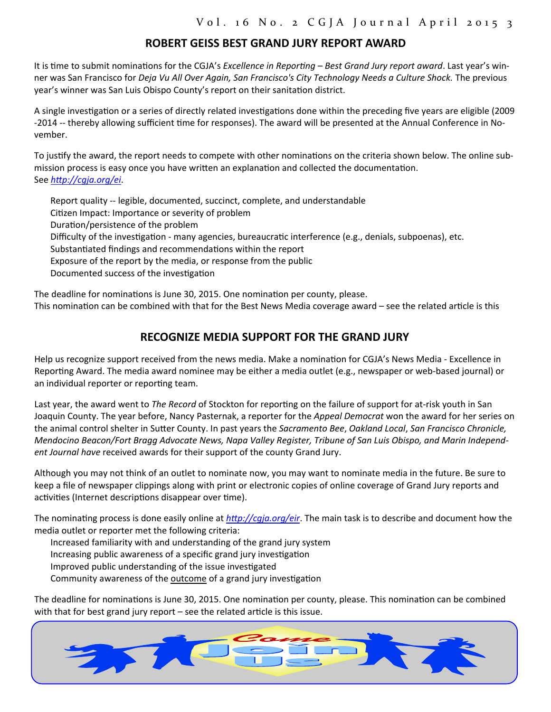# **ROBERT GEISS BEST GRAND JURY REPORT AWARD**

It is time to submit nominations for the CGJA's *Excellence in Reporting – Best Grand Jury report award*. Last year's winner was San Francisco for *Deja Vu All Over Again, San Francisco's City Technology Needs a Culture Shock.* The previous year's winner was San Luis Obispo County's report on their sanitation district.

A single investigation or a series of directly related investigations done within the preceding five years are eligible (2009) -2014 -- thereby allowing sufficient time for responses). The award will be presented at the Annual Conference in November.

To justify the award, the report needs to compete with other nominations on the criteria shown below. The online submission process is easy once you have written an explanation and collected the documentation. See *hƩp://cgja.org/ei*.

Report quality ‐‐ legible, documented, succinct, complete, and understandable

Citizen Impact: Importance or severity of problem

Duration/persistence of the problem

Difficulty of the investigation - many agencies, bureaucratic interference (e.g., denials, subpoenas), etc.

Substantiated findings and recommendations within the report

Exposure of the report by the media, or response from the public

Documented success of the investigation

The deadline for nominations is June 30, 2015. One nomination per county, please.

This nomination can be combined with that for the Best News Media coverage award – see the related article is this

# **RECOGNIZE MEDIA SUPPORT FOR THE GRAND JURY**

Help us recognize support received from the news media. Make a nomination for CGJA's News Media - Excellence in Reporting Award. The media award nominee may be either a media outlet (e.g., newspaper or web-based journal) or an individual reporter or reporting team.

Last year, the award went to *The Record* of Stockton for reporting on the failure of support for at-risk youth in San Joaquin County. The year before, Nancy Pasternak, a reporter for the *Appeal Democrat* won the award for her series on the animal control shelter in SuƩer County. In past years the *Sacramento Bee*, *Oakland Local*, *San Francisco Chronicle, Mendocino Beacon/Fort Bragg Advocate News, Napa Valley Register, Tribune of San Luis Obispo, and Marin Independ‐ ent Journal have* received awards for their support of the county Grand Jury.

Although you may not think of an outlet to nominate now, you may want to nominate media in the future. Be sure to keep a file of newspaper clippings along with print or electronic copies of online coverage of Grand Jury reports and activities (Internet descriptions disappear over time).

The nominating process is done easily online at *http://cqja.org/eir*. The main task is to describe and document how the media outlet or reporter met the following criteria:

Increased familiarity with and understanding of the grand jury system Increasing public awareness of a specific grand jury investigation Improved public understanding of the issue investigated Community awareness of the outcome of a grand jury investigation

The deadline for nominations is June 30, 2015. One nomination per county, please. This nomination can be combined with that for best grand jury report  $-$  see the related article is this issue.

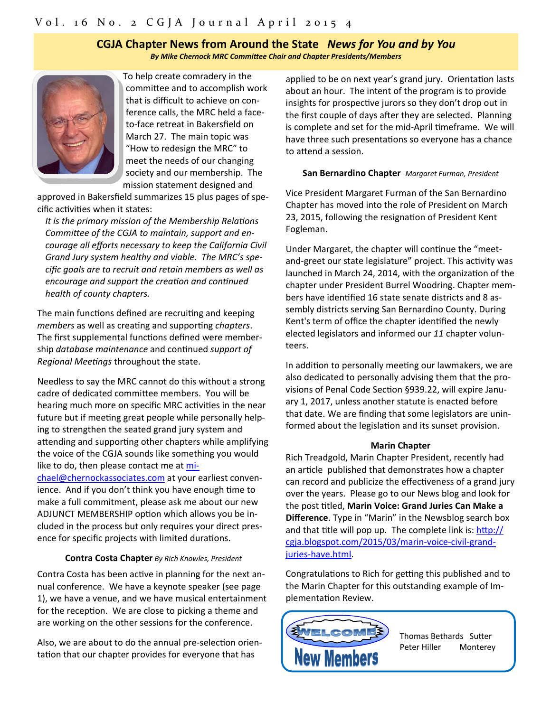## **CGJA Chapter News from Around the State** *News for You and by You By Mike Chernock MRC CommiƩee Chair and Chapter Presidents/Members*



To help create comradery in the committee and to accomplish work that is difficult to achieve on con‐ ference calls, the MRC held a face‐ to‐face retreat in Bakersfield on March 27. The main topic was "How to redesign the MRC" to meet the needs of our changing society and our membership. The mission statement designed and

approved in Bakersfield summarizes 15 plus pages of spe‐ cific activities when it states:

*It is the primary mission of the Membership Relations CommiƩee of the CGJA to maintain, support and en‐ courage all efforts necessary to keep the California Civil Grand Jury system healthy and viable. The MRC's spe‐ cific goals are to recruit and retain members as well as encourage and support the creation and continued health of county chapters.* 

The main functions defined are recruiting and keeping *members* as well as creating and supporting *chapters*. The first supplemental functions defined were membership *database maintenance* and conƟnued *support of Regional Meetings* throughout the state.

Needless to say the MRC cannot do this without a strong cadre of dedicated committee members. You will be hearing much more on specific MRC activities in the near future but if meeting great people while personally helping to strengthen the seated grand jury system and attending and supporting other chapters while amplifying the voice of the CGJA sounds like something you would like to do, then please contact me at mi‐ chael@chernockassociates.com at your earliest conven‐ ience. And if you don't think you have enough time to make a full commitment, please ask me about our new ADJUNCT MEMBERSHIP option which allows you be included in the process but only requires your direct pres‐ ence for specific projects with limited durations.

### **Contra Costa Chapter** *By Rich Knowles, President*

Contra Costa has been active in planning for the next annual conference. We have a keynote speaker (see page 1), we have a venue, and we have musical entertainment for the reception. We are close to picking a theme and are working on the other sessions for the conference.

Also, we are about to do the annual pre-selection orientation that our chapter provides for everyone that has

applied to be on next year's grand jury. Orientation lasts about an hour. The intent of the program is to provide insights for prospective jurors so they don't drop out in the first couple of days after they are selected. Planning is complete and set for the mid-April timeframe. We will have three such presentations so everyone has a chance to attend a session.

#### **San Bernardino Chapter** *Margaret Furman, President*

Vice President Margaret Furman of the San Bernardino Chapter has moved into the role of President on March 23, 2015, following the resignation of President Kent Fogleman.

Under Margaret, the chapter will continue the "meetand-greet our state legislature" project. This activity was launched in March 24, 2014, with the organization of the chapter under President Burrel Woodring. Chapter mem‐ bers have identified 16 state senate districts and 8 assembly districts serving San Bernardino County. During Kent's term of office the chapter identified the newly elected legislators and informed our *11* chapter volun‐ teers.

In addition to personally meeting our lawmakers, we are also dedicated to personally advising them that the pro‐ visions of Penal Code Section §939.22, will expire January 1, 2017, unless another statute is enacted before that date. We are finding that some legislators are unin‐ formed about the legislation and its sunset provision.

#### **Marin Chapter**

Rich Treadgold, Marin Chapter President, recently had an article published that demonstrates how a chapter can record and publicize the effectiveness of a grand jury over the years. Please go to our News blog and look for the post Ɵtled, **Marin Voice: Grand Juries Can Make a Difference**. Type in "Marin" in the Newsblog search box and that title will pop up. The complete link is:  $\frac{http://}{$ cgja.blogspot.com/2015/03/marin‐voice‐civil‐grand‐ juries‐have.html.

Congratulations to Rich for getting this published and to the Marin Chapter for this outstanding example of Im‐ plementation Review.



Thomas Bethards Sutter Peter Hiller Monterey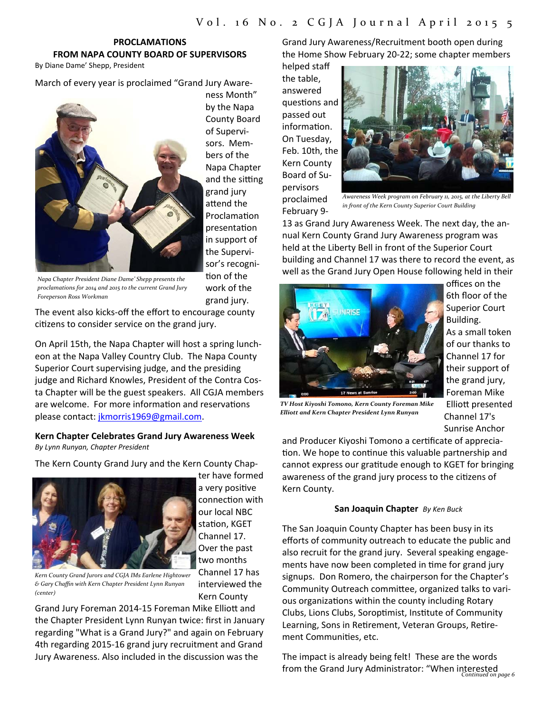# **PROCLAMATIONS FROM NAPA COUNTY BOARD OF SUPERVISORS**

By Diane Dame' Shepp, President

March of every year is proclaimed "Grand Jury Aware‐



ness Month" by the Napa County Board of Supervi‐ sors. Members of the Napa Chapter and the sitting grand jury attend the **Proclamation** presentaƟon in support of the Supervi‐ sor's recogni‐ tion of the work of the grand jury.

*Napa Chapter President Diane Dame' Shepp presents the proclamations for 2014 and 2015 to the current Grand Jury Foreperson Ross Workman*

The event also kicks‐off the effort to encourage county citizens to consider service on the grand jury.

On April 15th, the Napa Chapter will host a spring lunch‐ eon at the Napa Valley Country Club. The Napa County Superior Court supervising judge, and the presiding judge and Richard Knowles, President of the Contra Cos‐ ta Chapter will be the guest speakers. All CGJA members are welcome. For more information and reservations please contact: jkmorris1969@gmail.com.

#### **Kern Chapter Celebrates Grand Jury Awareness Week** *By Lynn Runyan, Chapter President*

The Kern County Grand Jury and the Kern County Chap‐



ter have formed a very positive connection with our local NBC station, KGET Channel 17. Over the past two months Channel 17 has interviewed the

*Kern County Grand Jurors and CGJA IMs Earlene Hightower & Gary Chaffin with Kern Chapter President Lynn Runyan (center)*

Kern County Grand Jury Foreman 2014-15 Foreman Mike Elliott and the Chapter President Lynn Runyan twice: first in January regarding "What is a Grand Jury?" and again on February

4th regarding 2015‐16 grand jury recruitment and Grand Jury Awareness. Also included in the discussion was the

Grand Jury Awareness/Recruitment booth open during the Home Show February 20‐22; some chapter members

helped staff the table, answered questions and passed out information. On Tuesday, Feb. 10th, the Kern County Board of Su‐ pervisors proclaimed February 9‐



*Awareness Week program on February 11, 2015, at the Liberty Bell in front of the Kern County Superior Court Building*

13 as Grand Jury Awareness Week. The next day, the an‐ nual Kern County Grand Jury Awareness program was held at the Liberty Bell in front of the Superior Court building and Channel 17 was there to record the event, as well as the Grand Jury Open House following held in their



offices on the 6th floor of the Superior Court Building. As a small token of our thanks to Channel 17 for their support of the grand jury, Foreman Mike Elliott presented Channel 17's Sunrise Anchor

*TV Host Kiyoshi Tomono, Kern County Foreman Mike Elliott and Kern Chapter President Lynn Runyan*

and Producer Kiyoshi Tomono a certificate of appreciation. We hope to continue this valuable partnership and cannot express our gratitude enough to KGET for bringing awareness of the grand jury process to the citizens of Kern County.

#### **San Joaquin Chapter** *By Ken Buck*

The San Joaquin County Chapter has been busy in its efforts of community outreach to educate the public and also recruit for the grand jury. Several speaking engage‐ ments have now been completed in time for grand jury signups. Don Romero, the chairperson for the Chapter's Community Outreach committee, organized talks to various organizations within the county including Rotary Clubs, Lions Clubs, Soroptimist, Institute of Community Learning, Sons in Retirement, Veteran Groups, Retirement Communities, etc.

*Continued on page 6* The impact is already being felt! These are the words from the Grand Jury Administrator: "When interested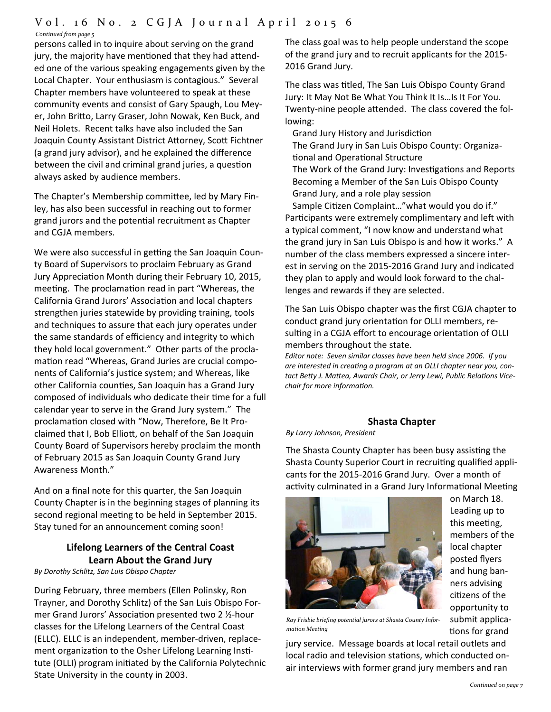# Vol. 1 6 No. 2 CGJA Journal April 2015 6

*Continued from page 5*

persons called in to inquire about serving on the grand jury, the majority have mentioned that they had attended one of the various speaking engagements given by the Local Chapter. Your enthusiasm is contagious." Several Chapter members have volunteered to speak at these community events and consist of Gary Spaugh, Lou Mey‐ er, John Britto, Larry Graser, John Nowak, Ken Buck, and Neil Holets. Recent talks have also included the San Joaquin County Assistant District Attorney, Scott Fichtner (a grand jury advisor), and he explained the difference between the civil and criminal grand juries, a question always asked by audience members.

The Chapter's Membership committee, led by Mary Finley, has also been successful in reaching out to former grand jurors and the potential recruitment as Chapter and CGJA members.

We were also successful in getting the San Joaquin County Board of Supervisors to proclaim February as Grand Jury Appreciation Month during their February 10, 2015, meeting. The proclamation read in part "Whereas, the California Grand Jurors' Association and local chapters strengthen juries statewide by providing training, tools and techniques to assure that each jury operates under the same standards of efficiency and integrity to which they hold local government." Other parts of the procla‐ mation read "Whereas, Grand Juries are crucial components of California's justice system; and Whereas, like other California counties, San Joaquin has a Grand Jury composed of individuals who dedicate their time for a full calendar year to serve in the Grand Jury system." The proclamation closed with "Now, Therefore, Be It Proclaimed that I, Bob Elliott, on behalf of the San Joaquin County Board of Supervisors hereby proclaim the month of February 2015 as San Joaquin County Grand Jury Awareness Month."

And on a final note for this quarter, the San Joaquin County Chapter is in the beginning stages of planning its second regional meeting to be held in September 2015. Stay tuned for an announcement coming soon!

# **Lifelong Learners of the Central Coast Learn About the Grand Jury**

*By Dorothy Schlitz, San Luis Obispo Chapter* 

During February, three members (Ellen Polinsky, Ron Trayner, and Dorothy Schlitz) of the San Luis Obispo For‐ mer Grand Jurors' Association presented two 2 ½-hour classes for the Lifelong Learners of the Central Coast (ELLC). ELLC is an independent, member‐driven, replace‐ ment organization to the Osher Lifelong Learning Institute (OLLI) program initiated by the California Polytechnic State University in the county in 2003.

The class goal was to help people understand the scope of the grand jury and to recruit applicants for the 2015‐ 2016 Grand Jury.

The class was titled, The San Luis Obispo County Grand Jury: It May Not Be What You Think It Is…Is It For You. Twenty-nine people attended. The class covered the following:

Grand Jury History and Jurisdiction The Grand Jury in San Luis Obispo County: Organiza‐ tional and Operational Structure The Work of the Grand Jury: Investigations and Reports Becoming a Member of the San Luis Obispo County Grand Jury, and a role play session Sample Citizen Complaint..." what would you do if."

Participants were extremely complimentary and left with a typical comment, "I now know and understand what the grand jury in San Luis Obispo is and how it works." A number of the class members expressed a sincere inter‐ est in serving on the 2015‐2016 Grand Jury and indicated they plan to apply and would look forward to the chal‐ lenges and rewards if they are selected.

The San Luis Obispo chapter was the first CGJA chapter to conduct grand jury orientation for OLLI members, resulting in a CGJA effort to encourage orientation of OLLI members throughout the state.

*Editor note: Seven similar classes have been held since 2006. If you are interested in creaƟng a program at an OLLI chapter near you, con‐ tact BeƩy J. MaƩea, Awards Chair, or Jerry Lewi, Public RelaƟons Vice‐ chair for more informaƟon.* 

# **Shasta Chapter**

*By Larry Johnson, President* 

The Shasta County Chapter has been busy assisting the Shasta County Superior Court in recruiting qualified applicants for the 2015‐2016 Grand Jury. Over a month of activity culminated in a Grand Jury Informational Meeting



on March 18. Leading up to this meeting, members of the local chapter posted flyers and hung ban‐ ners advising citizens of the opportunity to submit applica‐ tions for grand

*Ray Frisbie briefing potential jurors at Shasta County Infor‐ mation Meeting*

jury service. Message boards at local retail outlets and local radio and television stations, which conducted onair interviews with former grand jury members and ran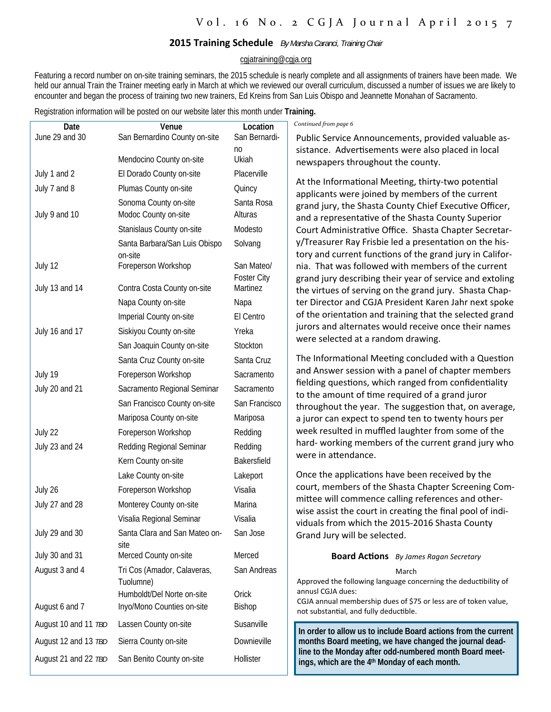## **2015 Training Schedule** *By Marsha Caranci, Training Chair*

#### cgjatraining@cgja.org

Featuring a record number on on-site training seminars, the 2015 schedule is nearly complete and all assignments of trainers have been made. We held our annual Train the Trainer meeting early in March at which we reviewed our overall curriculum, discussed a number of issues we are likely to encounter and began the process of training two new trainers, Ed Kreins from San Luis Obispo and Jeannette Monahan of Sacramento.

Registration information will be posted on our website later this month under **Training.** 

| Date                 | Venue                                    | Location           | Continued from page 6                                                                                                |
|----------------------|------------------------------------------|--------------------|----------------------------------------------------------------------------------------------------------------------|
| June 29 and 30       | San Bernardino County on-site            | San Bernardi-      | Public Service Announcements, provided valuable as-                                                                  |
|                      |                                          | no                 | sistance. Advertisements were also placed in local                                                                   |
|                      | Mendocino County on-site                 | Ukiah              | newspapers throughout the county.                                                                                    |
| July 1 and 2         | El Dorado County on-site                 | Placerville        | At the Informational Meeting, thirty-two potential                                                                   |
| July 7 and 8         | Plumas County on-site                    | Quincy             | applicants were joined by members of the current                                                                     |
|                      | Sonoma County on-site                    | Santa Rosa         | grand jury, the Shasta County Chief Executive Officer,                                                               |
| July 9 and 10        | Modoc County on-site                     | Alturas            | and a representative of the Shasta County Superior                                                                   |
|                      | Stanislaus County on-site                | Modesto            | Court Administrative Office. Shasta Chapter Secretar-                                                                |
|                      | Santa Barbara/San Luis Obispo<br>on-site | Solvang            | y/Treasurer Ray Frisbie led a presentation on the his-<br>tory and current functions of the grand jury in Califor-   |
| July 12              | Foreperson Workshop                      | San Mateo/         | nia. That was followed with members of the current                                                                   |
|                      |                                          | <b>Foster City</b> | grand jury describing their year of service and extoling                                                             |
| July 13 and 14       | Contra Costa County on-site              | Martinez           | the virtues of serving on the grand jury. Shasta Chap-                                                               |
|                      | Napa County on-site                      | Napa               | ter Director and CGJA President Karen Jahr next spoke                                                                |
|                      | Imperial County on-site                  | El Centro          | of the orientation and training that the selected grand                                                              |
| July 16 and 17       | Siskiyou County on-site                  | Yreka              | jurors and alternates would receive once their names<br>were selected at a random drawing.                           |
|                      | San Joaquin County on-site               | Stockton           |                                                                                                                      |
|                      | Santa Cruz County on-site                | Santa Cruz         | The Informational Meeting concluded with a Question                                                                  |
| July 19              | Foreperson Workshop                      | Sacramento         | and Answer session with a panel of chapter members                                                                   |
| July 20 and 21       | Sacramento Regional Seminar              | Sacramento         | fielding questions, which ranged from confidentiality<br>to the amount of time required of a grand juror             |
|                      | San Francisco County on-site             | San Francisco      | throughout the year. The suggestion that, on average,                                                                |
|                      | Mariposa County on-site                  | Mariposa           | a juror can expect to spend ten to twenty hours per                                                                  |
| July 22              | Foreperson Workshop                      | Redding            | week resulted in muffled laughter from some of the                                                                   |
| July 23 and 24       | Redding Regional Seminar                 | Redding            | hard- working members of the current grand jury who                                                                  |
|                      | Kern County on-site                      | Bakersfield        | were in attendance.                                                                                                  |
|                      | Lake County on-site                      | Lakeport           | Once the applications have been received by the                                                                      |
| July 26              | Foreperson Workshop                      | Visalia            | court, members of the Shasta Chapter Screening Com-                                                                  |
| July 27 and 28       | Monterey County on-site                  | Marina             | mittee will commence calling references and other-                                                                   |
|                      | Visalia Regional Seminar                 | Visalia            | wise assist the court in creating the final pool of indi-<br>viduals from which the 2015-2016 Shasta County          |
| July 29 and 30       | Santa Clara and San Mateo on-<br>site    | San Jose           | Grand Jury will be selected.                                                                                         |
| July 30 and 31       | Merced County on-site                    | Merced             | <b>Board Actions</b> By James Ragan Secretary                                                                        |
| August 3 and 4       | Tri Cos (Amador, Calaveras,              | San Andreas        | March                                                                                                                |
|                      | Tuolumne)                                |                    | Approved the following language concerning the deductibility of                                                      |
|                      | Humboldt/Del Norte on-site               | Orick              | annusl CGJA dues:<br>CGJA annual membership dues of \$75 or less are of token value,                                 |
| August 6 and 7       | Inyo/Mono Counties on-site               | Bishop             | not substantial, and fully deductible.                                                                               |
| August 10 and 11 TBD | Lassen County on-site                    | Susanville         | In order to allow us to include Board actions from the current                                                       |
| August 12 and 13 TBD | Sierra County on-site                    | Downieville        | months Board meeting, we have changed the journal dead-                                                              |
| August 21 and 22 TBD | San Benito County on-site                | Hollister          | line to the Monday after odd-numbered month Board meet-<br>ings, which are the 4 <sup>th</sup> Monday of each month. |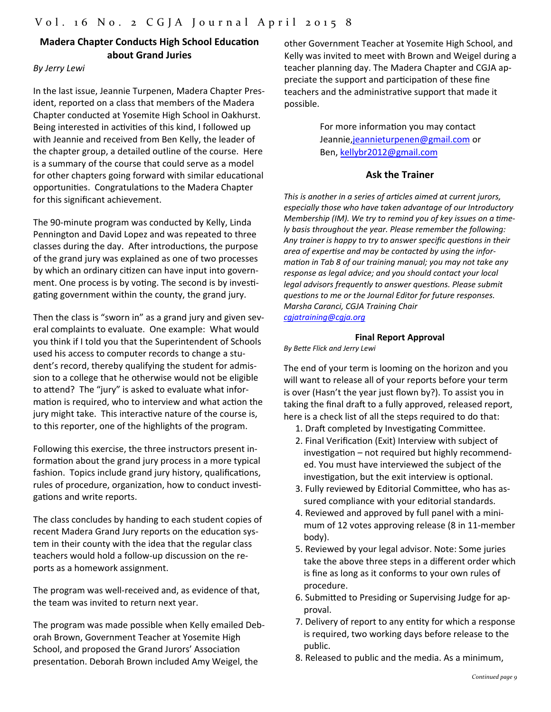# **Madera Chapter Conducts High School Education about Grand Juries**

## *By Jerry Lewi*

In the last issue, Jeannie Turpenen, Madera Chapter Pres‐ ident, reported on a class that members of the Madera Chapter conducted at Yosemite High School in Oakhurst. Being interested in activities of this kind, I followed up with Jeannie and received from Ben Kelly, the leader of the chapter group, a detailed outline of the course. Here is a summary of the course that could serve as a model for other chapters going forward with similar educational opportunities. Congratulations to the Madera Chapter for this significant achievement.

The 90‐minute program was conducted by Kelly, Linda Pennington and David Lopez and was repeated to three classes during the day. After introductions, the purpose of the grand jury was explained as one of two processes by which an ordinary citizen can have input into government. One process is by voting. The second is by investigating government within the county, the grand jury.

Then the class is "sworn in" as a grand jury and given sev‐ eral complaints to evaluate. One example: What would you think if I told you that the Superintendent of Schools used his access to computer records to change a stu‐ dent's record, thereby qualifying the student for admis‐ sion to a college that he otherwise would not be eligible to attend? The "jury" is asked to evaluate what information is required, who to interview and what action the jury might take. This interactive nature of the course is, to this reporter, one of the highlights of the program.

Following this exercise, the three instructors present in‐ formation about the grand jury process in a more typical fashion. Topics include grand jury history, qualifications, rules of procedure, organization, how to conduct investigations and write reports.

The class concludes by handing to each student copies of recent Madera Grand Jury reports on the education system in their county with the idea that the regular class teachers would hold a follow‐up discussion on the re‐ ports as a homework assignment.

The program was well-received and, as evidence of that, the team was invited to return next year.

The program was made possible when Kelly emailed Deb‐ orah Brown, Government Teacher at Yosemite High School, and proposed the Grand Jurors' Association presentation. Deborah Brown included Amy Weigel, the

other Government Teacher at Yosemite High School, and Kelly was invited to meet with Brown and Weigel during a teacher planning day. The Madera Chapter and CGJA ap‐ preciate the support and participation of these fine teachers and the administrative support that made it possible.

> For more information you may contact Jeannie, jeannieturpenen@gmail.com or Ben, kellybr2012@gmail.com

#### **Ask the Trainer**

*This is another in a series of articles aimed at current jurors, especially those who have taken advantage of our Introductory Membership (IM). We try to remind you of key issues on a timely basis throughout the year. Please remember the following:*  Any trainer is happy to try to answer specific questions in their *area of experƟse and may be contacted by using the infor‐ mation in Tab 8 of our training manual; you may not take any response as legal advice; and you should contact your local legal advisors frequently to answer questions. Please submit quesƟons to me or the Journal Editor for future responses. Marsha Caranci, CGJA Training Chair cgjatraining@cgja.org* 

#### **Final Report Approval**

*By BeƩe Flick and Jerry Lewi* 

The end of your term is looming on the horizon and you will want to release all of your reports before your term is over (Hasn't the year just flown by?). To assist you in taking the final draft to a fully approved, released report, here is a check list of all the steps required to do that:

- 1. Draft completed by Investigating Committee.
- 2. Final Verification (Exit) Interview with subject of investigation – not required but highly recommended. You must have interviewed the subject of the investigation, but the exit interview is optional.
- 3. Fully reviewed by Editorial Committee, who has assured compliance with your editorial standards.
- 4. Reviewed and approved by full panel with a mini‐ mum of 12 votes approving release (8 in 11‐member body).
- 5. Reviewed by your legal advisor. Note: Some juries take the above three steps in a different order which is fine as long as it conforms to your own rules of procedure.
- 6. Submitted to Presiding or Supervising Judge for approval.
- 7. Delivery of report to any entity for which a response is required, two working days before release to the public.
- 8. Released to public and the media. As a minimum,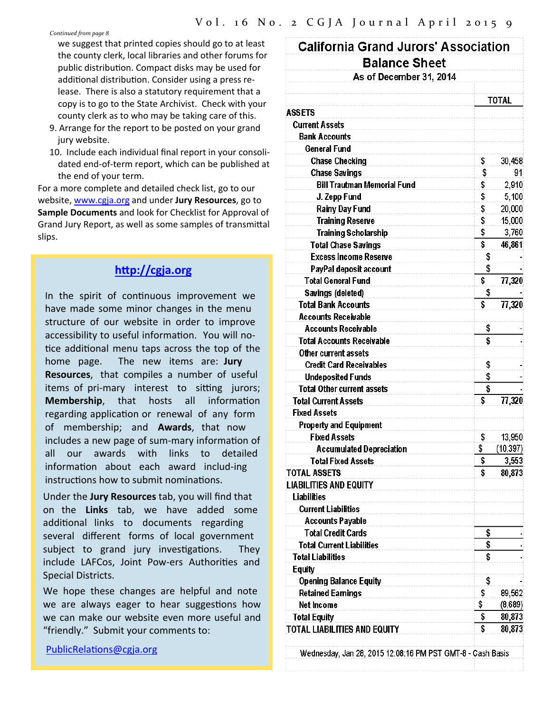*Continued from page 8*

we suggest that printed copies should go to at least the county clerk, local libraries and other forums for public distribution. Compact disks may be used for additional distribution. Consider using a press release. There is also a statutory requirement that a copy is to go to the State Archivist. Check with your county clerk as to who may be taking care of this.

- 9. Arrange for the report to be posted on your grand jury website.
- 10. Include each individual final report in your consoli‐ dated end‐of‐term report, which can be published at the end of your term.

For a more complete and detailed check list, go to our website, www.cgja.org and under **Jury Resources**, go to **Sample Documents** and look for Checklist for Approval of Grand Jury Report, as well as some samples of transmittal slips.

# **hƩp://cgja.org**

In the spirit of continuous improvement we have made some minor changes in the menu structure of our website in order to improve accessibility to useful information. You will notice additional menu taps across the top of the home page. The new items are: **Jury Resources**, that compiles a number of useful items of pri-mary interest to sitting jurors; **Membership**, that hosts all information regarding application or renewal of any form of membership; and **Awards**, that now includes a new page of sum-mary information of all our awards with links to detailed information about each award includ-ing instructions how to submit nominations.

Under the **Jury Resources** tab, you will find that on the **Links** tab, we have added some additional links to documents regarding several different forms of local government subject to grand jury investigations. They include LAFCos, Joint Pow-ers Authorities and Special Districts.

We hope these changes are helpful and note we are always eager to hear suggestions how we can make our website even more useful and "friendly." Submit your comments to:

PublicRelations@cgja.org

| <b>Balance Sheet</b><br>As of December 31, 2014 |                         |           |  |  |
|-------------------------------------------------|-------------------------|-----------|--|--|
|                                                 |                         |           |  |  |
| ASSETS                                          |                         | TOTAL     |  |  |
| <b>Current Assets</b>                           |                         |           |  |  |
| <b>Bank Accounts</b>                            |                         |           |  |  |
| General Fund                                    |                         |           |  |  |
| <b>Chase Checking</b>                           | \$                      | 30,458    |  |  |
| <b>Chase Savings</b>                            | \$                      | 91        |  |  |
| <b>Bill Trautman Memorial Fund</b>              | \$                      | 2,910     |  |  |
| J. Zepp Fund                                    | \$                      | 5,100     |  |  |
| <b>Rainy Day Fund</b>                           | \$                      | 20,000    |  |  |
| <b>Training Reserve</b>                         | \$                      | 15,000    |  |  |
| <b>Training Scholarship</b>                     | \$                      | 3,760     |  |  |
| <b>Total Chase Savings</b>                      | $\overline{\mathbf{s}}$ | 46,861    |  |  |
| <b>Excess Income Reserve</b>                    | \$                      |           |  |  |
| PayPal deposit account                          | \$                      |           |  |  |
| <b>Total General Fund</b>                       | \$                      | 77,320    |  |  |
| Savings (deleted)                               | \$                      |           |  |  |
| <b>Total Bank Accounts</b>                      | \$                      | 77,320    |  |  |
| <b>Accounts Receivable</b>                      |                         |           |  |  |
| <b>Accounts Receivable</b>                      | \$                      |           |  |  |
| Total Accounts Receivable                       | Ŝ                       |           |  |  |
| Other current assets                            |                         |           |  |  |
| <b>Credit Card Receivables</b>                  | \$                      |           |  |  |
| <b>Undeposited Funds</b>                        | \$                      |           |  |  |
| <b>Total Other current assets</b>               | \$                      |           |  |  |
| <b>Total Current Assets</b>                     | \$                      | 77,320    |  |  |
| <b>Fixed Assets</b>                             |                         |           |  |  |
| <b>Property and Equipment</b>                   |                         |           |  |  |
| <b>Fixed Assets</b>                             | \$                      | 13,950    |  |  |
| <b>Accumulated Depreciation</b>                 | Ş                       | (10, 397) |  |  |
| <b>Total Fixed Assets</b>                       | \$                      | 3,553     |  |  |
| <b>TOTAL ASSETS</b>                             | \$                      | 80,873    |  |  |
| LIABILITIES AND EQUITY                          |                         |           |  |  |
| <b>Liabilities</b>                              |                         |           |  |  |
| <b>Current Liabilities</b>                      |                         |           |  |  |
| Accounts Payable                                |                         |           |  |  |
| <b>Total Credit Cards</b>                       | \$                      |           |  |  |
| <b>Total Current Liabilities</b>                | \$                      |           |  |  |
| <b>Total Liabilities</b>                        | \$                      |           |  |  |
| <b>Equity</b>                                   |                         |           |  |  |
| <b>Opening Balance Equity</b>                   | \$                      |           |  |  |
| <b>Retained Eamings</b>                         | \$                      | 89,562    |  |  |
| <b>Net Income</b>                               | \$                      | (8,689)   |  |  |
| <b>Total Equity</b>                             | \$                      | 80,873    |  |  |
| TOTAL LIABILITIES AND EQUITY                    | \$                      | 80,873    |  |  |
|                                                 |                         |           |  |  |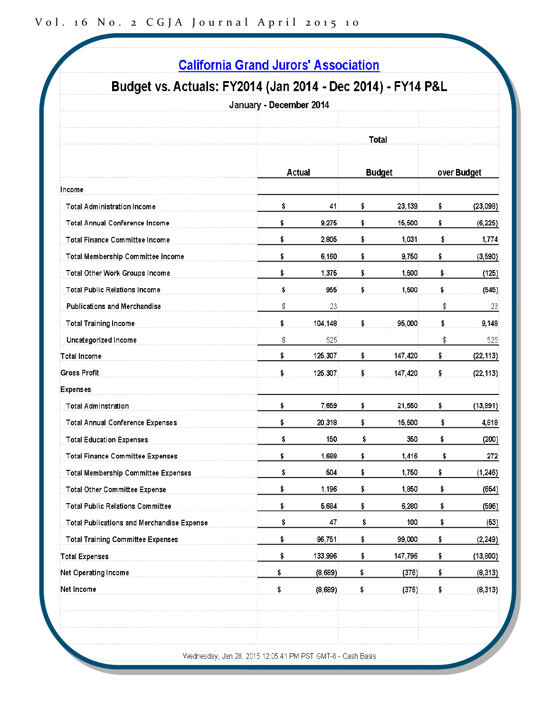| Budget vs. Actuals: FY2014 (Jan 2014 - Dec 2014) - FY14 P&L | January - December 2014 |               |    |               |    |             |  |
|-------------------------------------------------------------|-------------------------|---------------|----|---------------|----|-------------|--|
|                                                             | <b>Total</b>            |               |    |               |    |             |  |
|                                                             |                         | <b>Actual</b> |    | <b>Budget</b> |    | over Budget |  |
| Income                                                      |                         |               |    |               |    |             |  |
| <b>Total Administration Income</b>                          | \$                      | 41            | \$ | 23,139        | \$ | (23,098)    |  |
| <b>Total Annual Conference Income</b>                       | \$                      | 9,275         | \$ | 15,500        | \$ | (6, 225)    |  |
| <b>Total Finance Committee Income</b>                       | \$                      | 2,805         | \$ | 1,031         | \$ | 1,774       |  |
| Total Membership Committee Income                           | \$                      | 6,160         | \$ | 9,750         | \$ | (3, 590)    |  |
| Total Other Work Groups Income                              | \$                      | 1,375         | \$ | 1,500         | \$ | (125)       |  |
| <b>Total Public Relations Income</b>                        | \$                      | 955           | \$ | 1,500         | \$ | (545)       |  |
| <b>Publications and Merchandise</b>                         | \$                      | 23            |    |               | \$ | 23          |  |
| <b>Total Training Income</b>                                | \$                      | 104,148       | \$ | 95,000        | \$ | 9,148       |  |
| Uncategorized Income                                        | \$                      | 525           |    |               | \$ | 525         |  |
| <b>Total Income</b>                                         | \$                      | 125,307       | \$ | 147,420       | \$ | (22, 113)   |  |
| <b>Gross Profit</b>                                         | \$                      | 125,307       | \$ | 147,420       | \$ | (22, 113)   |  |
| Expenses                                                    |                         |               |    |               |    |             |  |
| <b>Total Adminstration</b>                                  | \$                      | 7,659         | \$ | 21,550        | \$ | (13,891)    |  |
| <b>Total Annual Conference Expenses</b>                     | \$                      | 20,318        | \$ | 15,500        | \$ | 4,818       |  |
| <b>Total Education Expenses</b>                             | \$                      | 150           | \$ | 350           | \$ | (200)       |  |
| <b>Total Finance Committee Expenses</b>                     | \$                      | 1,688         | \$ | 1,416         | Ş  | 272         |  |
| <b>Total Membership Committee Expenses</b>                  | \$                      | 504           | \$ | 1,750         | \$ | (1, 246)    |  |
| <b>Total Other Committee Expense</b>                        | \$                      | 1,196         | \$ | 1,850         | \$ | (654)       |  |
| <b>Total Public Relations Committee</b>                     | \$                      | 5,684         | \$ | 6,280         | \$ | (596)       |  |
| Total Publications and Merchandise Expense                  | \$                      | 47            | \$ | 100           | \$ | (53)        |  |
| <b>Total Training Committee Expenses</b>                    | \$                      | 96,751        | \$ | 99,000        | \$ | (2, 249)    |  |
| <b>Total Expenses</b>                                       | \$                      | 133,996       | \$ | 147,796       | \$ | (13,800)    |  |
| Net Operating Income                                        | \$                      | (8,689)       | \$ | (376)         | \$ | (8,313)     |  |
| Net Income                                                  | \$                      | (8,689)       | \$ | (376)         | \$ | (8,313)     |  |
|                                                             |                         |               |    |               |    |             |  |
|                                                             |                         |               |    |               |    |             |  |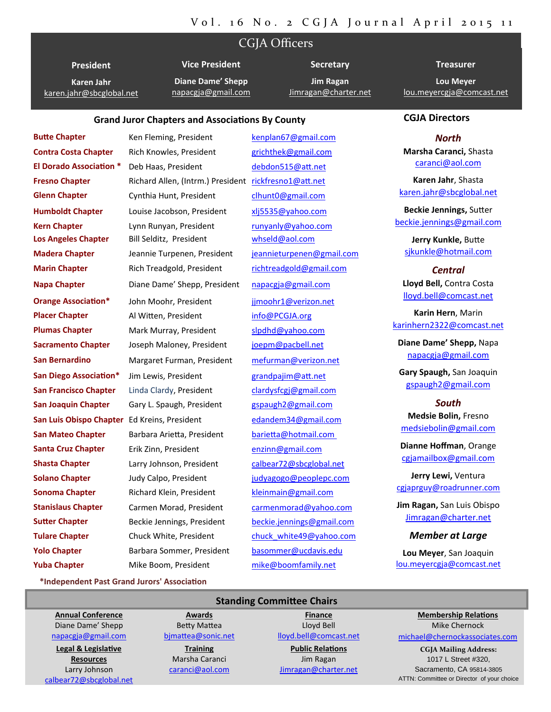# CGJA Officers

**President Karen Jahr** karen.jahr@sbcglobal.net **Vice President**

**Diane Dame' Shepp** napacgja@gmail.com

**Jim Ragan** Jimragan@charter.net

**Secretary**

# **Treasurer Lou Meyer**

lou.meyercgja@comcast.net

#### **Grand Juror Chapters and AssociaƟons By County**

**Butte Chapter** *Ken Fleming, President kenplan67@gmail.com* **Contra Costa Chapter**  Rich Knowles, President grichthek@gmail.com **El Dorado Association** \* Deb Haas, President debdon515@att.net **Fresno Chapter** Richard Allen, (Intrm.) President rickfresno1@att.net **Glenn Chapter** Cynthia Hunt, President clhunt0@gmail.com **Humboldt Chapter** Louise Jacobson, President xlj5535@yahoo.com **Kern Chapter** Lynn Runyan, President runyanly@yahoo.com **Los Angeles Chapter** Bill Selditz, President whseld@aol.com **Madera Chapter** Jeannie Turpenen, President jeannieturpenen@gmail.com **Marin Chapter** Rich Treadgold, President richtreadgold@gmail.com **Napa Chapter** Diane Dame' Shepp, President napacgja@gmail.com **Orange Association\*** John Moohr, President ijmoohr1@verizon.net **Placer Chapter** Al Witten, President info@PCGJA.org **Plumas Chapter** Mark Murray, President slpdhd@yahoo.com **Sacramento Chapter**  Joseph Maloney, President joepm@pacbell.net **San Bernardino**  Margaret Furman, President mefurman@verizon.net **San Diego Association\*** Jim Lewis, President grandpajim@att.net **San Francisco Chapter** Linda Clardy, President clardysfcgj@gmail.com **San Joaquin Chapter** Gary L. Spaugh, President **gspaugh2@gmail.com San Luis Obispo Chapter** Ed Kreins, President edandem34@gmail.com **San Mateo Chapter Barbara Arietta, President barietta@hotmail.com Santa Cruz Chapter** Erik Zinn, President enzinn@gmail.com **Shasta Chapter Larry Johnson, President calbear72@sbcglobal.net Solano Chapter 3. Judy Calpo, President** *iudyagogo@peoplepc.com* **Sonoma Chapter** Richard Klein, President kleinmain@gmail.com **Stanislaus Chapter** Carmen Morad, President carmenmorad@yahoo.com **Sutter Chapter Beckie Jennings, President beckie.jennings@gmail.com Tulare Chapter Chuck White, President** chuck white49@yahoo.com **Yolo Chapter** Barbara Sommer, President basommer@ucdavis.edu **Yuba Chapter** Mike Boom, President mike@boomfamily.net

#### **CGJA Directors**

#### *North*

**Marsha Caranci,** Shasta caranci@aol.com

**Karen Jahr**, Shasta karen.jahr@sbcglobal.net

**Beckie Jennings,** SuƩer beckie.jennings@gmail.com

**Jerry Kunkle,** BuƩe sjkunkle@hotmail.com

*Central* **Lloyd Bell,** Contra Costa lloyd.bell@comcast.net

**Karin Hern**, Marin karinhern2322@comcast.net

**Diane Dame' Shepp,** Napa napacgja@gmail.com

**Gary Spaugh,** San Joaquin gspaugh2@gmail.com

#### *South*

**Medsie Bolin,** Fresno medsiebolin@gmail.com

**Dianne Hoffman**, Orange cgjamailbox@gmail.com

**Jerry Lewi,** Ventura cgjaprguy@roadrunner.com

**Jim Ragan,** San Luis Obispo Jimragan@charter.net

#### *Member at Large*

**Lou Meyer**, San Joaquin lou.meyercgja@comcast.net

**\*Independent Past Grand Jurors' AssociaƟon**

**Annual Conference** Diane Dame' Shepp napacgja@gmail.com

**Legal & LegislaƟve Resources** Larry Johnson calbear72@sbcglobal.net

**Awards Betty Mattea** bjmattea@sonic.net

**Training** Marsha Caranci caranci@aol.com

**Standing Committee Chairs Finance**

Lloyd Bell lloyd.bell@comcast.net

**Public Relations** Jim Ragan Jimragan@charter.net **Membership RelaƟons** Mike Chernock

michael@chernockassociates.com

**CGJA Mailing Address:** 1017 L Street #320, Sacramento, CA 95814-3805 ATTN: Committee or Director of your choice